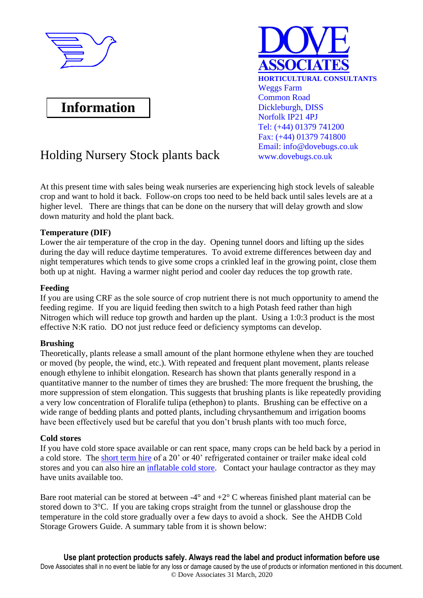

# **Information**



## Holding Nursery Stock plants back www.dovebugs.co.uk

At this present time with sales being weak nurseries are experiencing high stock levels of saleable crop and want to hold it back. Follow-on crops too need to be held back until sales levels are at a higher level. There are things that can be done on the nursery that will delay growth and slow down maturity and hold the plant back.

## **Temperature (DIF)**

Lower the air temperature of the crop in the day. Opening tunnel doors and lifting up the sides during the day will reduce daytime temperatures. To avoid extreme differences between day and night temperatures which tends to give some crops a crinkled leaf in the growing point, close them both up at night. Having a warmer night period and cooler day reduces the top growth rate.

## **Feeding**

If you are using CRF as the sole source of crop nutrient there is not much opportunity to amend the feeding regime. If you are liquid feeding then switch to a high Potash feed rather than high Nitrogen which will reduce top growth and harden up the plant. Using a 1:0:3 product is the most effective N:K ratio. DO not just reduce feed or deficiency symptoms can develop.

## **Brushing**

Theoretically, plants release a small amount of the plant hormone ethylene when they are touched or moved (by people, the wind, etc.). With repeated and frequent plant movement, plants release enough ethylene to inhibit elongation. Research has shown that plants generally respond in a quantitative manner to the number of times they are brushed: The more frequent the brushing, the more suppression of stem elongation. This suggests that brushing plants is like repeatedly providing a very low concentration of Floralife tulipa (ethephon) to plants. Brushing can be effective on a wide range of bedding plants and potted plants, including chrysanthemum and irrigation booms have been effectively used but be careful that you don't brush plants with too much force,

## **Cold stores**

If you have cold store space available or can rent space, many crops can be held back by a period in a cold store. The [short term hire](https://www.crscoldstorage.co.uk/cold-stores/) of a 20' or 40' refrigerated container or trailer make ideal cold stores and you can also hire an [inflatable cold store.](http://www.lattaloohire.com/inflatable-chill-stores.html) Contact your haulage contractor as they may have units available too.

Bare root material can be stored at between  $-4^{\circ}$  and  $+2^{\circ}$  C whereas finished plant material can be stored down to 3°C. If you are taking crops straight from the tunnel or glasshouse drop the temperature in the cold store gradually over a few days to avoid a shock. See the AHDB Cold Storage Growers Guide. A summary table from it is shown below: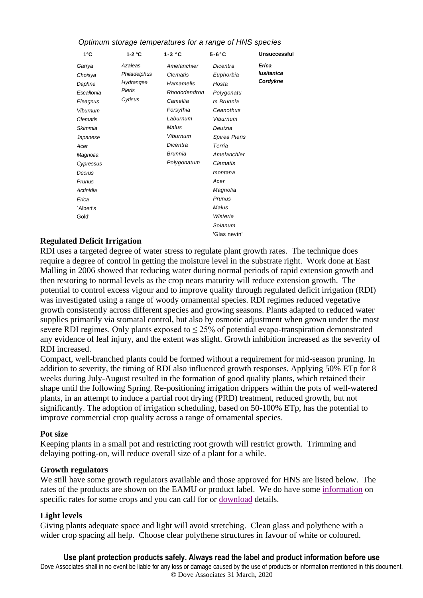| 1°C                                                                                                                                                                                                          | 1-2 $\degree$ C                                           | $1-3 °C$                                                                                                                                             | $5-6^\circ C$                                                                                                                                                                                                                                | <b>Unsuccessful</b>             |  |
|--------------------------------------------------------------------------------------------------------------------------------------------------------------------------------------------------------------|-----------------------------------------------------------|------------------------------------------------------------------------------------------------------------------------------------------------------|----------------------------------------------------------------------------------------------------------------------------------------------------------------------------------------------------------------------------------------------|---------------------------------|--|
| Garrya<br>Choisya<br>Daphne<br>Escallonia<br>Eleagnus<br><b>Viburnum</b><br>Clematis<br>Skimmia<br>Japanese<br>Acer<br>Magnolia<br>Cypressus<br>Decrus<br>Prunus<br>Actinidia<br>Erica<br>`Albert's<br>Gold' | Azaleas<br>Philadelphus<br>Hydrangea<br>Pieris<br>Cytisus | Amelanchier<br>Clematis<br>Hamamelis<br>Rhododendron<br>Camellia<br>Forsythia<br>Laburnum<br>Malus<br>Viburnum<br>Dicentra<br>Brunnia<br>Polygonatum | Dicentra<br>Euphorbia<br>Hosta<br>Polygonatu<br>m Brunnia<br>Ceanothus<br>Viburnum<br>Deutzia<br>Spirea Pieris<br>Terria<br>Amelanchier<br>Clematis<br>montana<br>Acer<br>Magnolia<br>Prunus<br>Malus<br>Wisteria<br>Solanum<br>'Glas nevin' | Erica<br>lusitanica<br>Cordykne |  |
|                                                                                                                                                                                                              |                                                           |                                                                                                                                                      |                                                                                                                                                                                                                                              |                                 |  |

### Optimum storage temperatures for a range of HNS spec*ies*

### **Regulated Deficit Irrigation**

RDI uses a targeted degree of water stress to regulate plant growth rates. The technique does require a degree of control in getting the moisture level in the substrate right. Work done at East Malling in 2006 showed that reducing water during normal periods of rapid extension growth and then restoring to normal levels as the crop nears maturity will reduce extension growth. The potential to control excess vigour and to improve quality through regulated deficit irrigation (RDI) was investigated using a range of woody ornamental species. RDI regimes reduced vegetative growth consistently across different species and growing seasons. Plants adapted to reduced water supplies primarily via stomatal control, but also by osmotic adjustment when grown under the most severe RDI regimes. Only plants exposed to  $\leq$  25% of potential evapo-transpiration demonstrated any evidence of leaf injury, and the extent was slight. Growth inhibition increased as the severity of RDI increased.

Compact, well-branched plants could be formed without a requirement for mid-season pruning. In addition to severity, the timing of RDI also influenced growth responses. Applying 50% ETp for 8 weeks during July-August resulted in the formation of good quality plants, which retained their shape until the following Spring. Re-positioning irrigation drippers within the pots of well-watered plants, in an attempt to induce a partial root drying (PRD) treatment, reduced growth, but not significantly. The adoption of irrigation scheduling, based on 50-100% ETp, has the potential to improve commercial crop quality across a range of ornamental species.

#### **Pot size**

Keeping plants in a small pot and restricting root growth will restrict growth. Trimming and delaying potting-on, will reduce overall size of a plant for a while.

#### **Growth regulators**

We still have some growth regulators available and those approved for HNS are listed below. The rates of the products are shown on the EAMU or product label. We do have some [information](http://www.dovebugs.co.uk/pgr%202019.pdf) on specific rates for some crops and you can call for or [download](http://www.dovebugs.co.uk/pgr%20Rates.pdf) details.

#### **Light levels**

Giving plants adequate space and light will avoid stretching. Clean glass and polythene with a wider crop spacing all help. Choose clear polythene structures in favour of white or coloured.

**Use plant protection products safely. Always read the label and product information before use** Dove Associates shall in no event be liable for any loss or damage caused by the use of products or information mentioned in this document. © Dove Associates 31 March, 2020